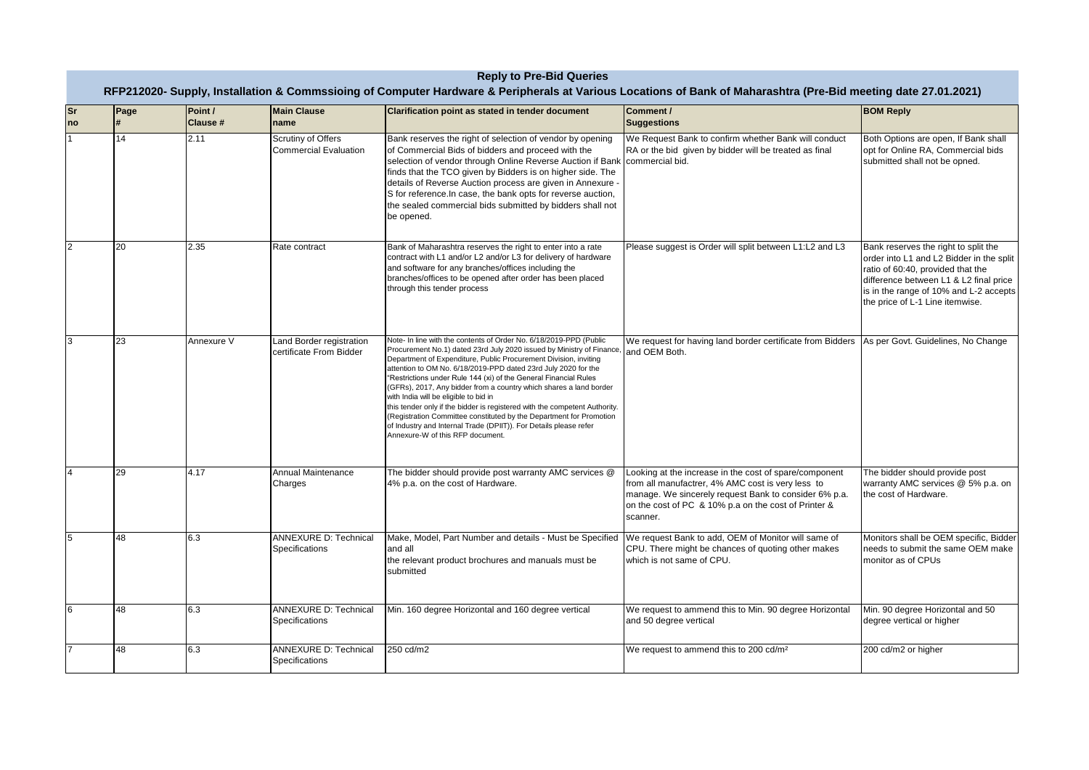| <b>Reply to Pre-Bid Queries</b><br>RFP212020- Supply, Installation & Commssioing of Computer Hardware & Peripherals at Various Locations of Bank of Maharashtra (Pre-Bid meeting date 27.01.2021) |      |                     |                                                     |                                                                                                                                                                                                                                                                                                                                                                                                                                                                                                                                                                                                                                                                                                                                   |                                                                                                                                                                                                                                          |                                                                                                                                                                                                                                              |
|---------------------------------------------------------------------------------------------------------------------------------------------------------------------------------------------------|------|---------------------|-----------------------------------------------------|-----------------------------------------------------------------------------------------------------------------------------------------------------------------------------------------------------------------------------------------------------------------------------------------------------------------------------------------------------------------------------------------------------------------------------------------------------------------------------------------------------------------------------------------------------------------------------------------------------------------------------------------------------------------------------------------------------------------------------------|------------------------------------------------------------------------------------------------------------------------------------------------------------------------------------------------------------------------------------------|----------------------------------------------------------------------------------------------------------------------------------------------------------------------------------------------------------------------------------------------|
| <b>Sr</b><br>no                                                                                                                                                                                   | Page | Point /<br>Clause # | <b>Main Clause</b><br>name                          | Clarification point as stated in tender document                                                                                                                                                                                                                                                                                                                                                                                                                                                                                                                                                                                                                                                                                  | Comment /<br><b>Suggestions</b>                                                                                                                                                                                                          | <b>BOM Reply</b>                                                                                                                                                                                                                             |
|                                                                                                                                                                                                   | 14   | 2.11                | Scrutiny of Offers<br><b>Commercial Evaluation</b>  | Bank reserves the right of selection of vendor by opening<br>of Commercial Bids of bidders and proceed with the<br>selection of vendor through Online Reverse Auction if Bank commercial bid.<br>finds that the TCO given by Bidders is on higher side. The<br>details of Reverse Auction process are given in Annexure -<br>S for reference. In case, the bank opts for reverse auction,<br>the sealed commercial bids submitted by bidders shall not<br>be opened.                                                                                                                                                                                                                                                              | We Request Bank to confirm whether Bank will conduct<br>RA or the bid given by bidder will be treated as final                                                                                                                           | Both Options are open, If Bank shall<br>opt for Online RA, Commercial bids<br>submitted shall not be opned.                                                                                                                                  |
| $\overline{2}$                                                                                                                                                                                    | 20   | 2.35                | Rate contract                                       | Bank of Maharashtra reserves the right to enter into a rate<br>contract with L1 and/or L2 and/or L3 for delivery of hardware<br>and software for any branches/offices including the<br>branches/offices to be opened after order has been placed<br>through this tender process                                                                                                                                                                                                                                                                                                                                                                                                                                                   | Please suggest is Order will split between L1:L2 and L3                                                                                                                                                                                  | Bank reserves the right to split the<br>order into L1 and L2 Bidder in the split<br>ratio of 60:40, provided that the<br>difference between L1 & L2 final price<br>is in the range of 10% and L-2 accepts<br>the price of L-1 Line itemwise. |
| 3                                                                                                                                                                                                 | 23   | Annexure V          | Land Border registration<br>certificate From Bidder | Note- In line with the contents of Order No. 6/18/2019-PPD (Public<br>Procurement No.1) dated 23rd July 2020 issued by Ministry of Finance<br>Department of Expenditure, Public Procurement Division, inviting<br>attention to OM No. 6/18/2019-PPD dated 23rd July 2020 for the<br>"Restrictions under Rule 144 (xi) of the General Financial Rules<br>(GFRs), 2017, Any bidder from a country which shares a land border<br>with India will be eligible to bid in<br>this tender only if the bidder is registered with the competent Authority.<br>(Registration Committee constituted by the Department for Promotion<br>of Industry and Internal Trade (DPIIT)). For Details please refer<br>Annexure-W of this RFP document. | We request for having land border certificate from Bidders<br>and OEM Both.                                                                                                                                                              | As per Govt. Guidelines, No Change                                                                                                                                                                                                           |
| $\overline{4}$                                                                                                                                                                                    | 29   | 4.17                | Annual Maintenance<br>Charges                       | The bidder should provide post warranty AMC services @<br>4% p.a. on the cost of Hardware.                                                                                                                                                                                                                                                                                                                                                                                                                                                                                                                                                                                                                                        | Looking at the increase in the cost of spare/component<br>from all manufactrer, 4% AMC cost is very less to<br>manage. We sincerely request Bank to consider 6% p.a.<br>on the cost of PC & 10% p.a on the cost of Printer &<br>scanner. | The bidder should provide post<br>warranty AMC services @ 5% p.a. on<br>the cost of Hardware.                                                                                                                                                |
| 5                                                                                                                                                                                                 | 48   | 6.3                 | <b>ANNEXURE D: Technical</b><br>Specifications      | Make, Model, Part Number and details - Must be Specified<br>and all<br>the relevant product brochures and manuals must be<br>submitted                                                                                                                                                                                                                                                                                                                                                                                                                                                                                                                                                                                            | We request Bank to add, OEM of Monitor will same of<br>CPU. There might be chances of quoting other makes<br>which is not same of CPU.                                                                                                   | Monitors shall be OEM specific, Bidder<br>needs to submit the same OEM make<br>monitor as of CPUs                                                                                                                                            |
| 6                                                                                                                                                                                                 | 48   | 6.3                 | <b>ANNEXURE D: Technical</b><br>Specifications      | Min. 160 degree Horizontal and 160 degree vertical                                                                                                                                                                                                                                                                                                                                                                                                                                                                                                                                                                                                                                                                                | We request to ammend this to Min. 90 degree Horizontal<br>and 50 degree vertical                                                                                                                                                         | Min. 90 degree Horizontal and 50<br>degree vertical or higher                                                                                                                                                                                |
|                                                                                                                                                                                                   | 48   | 6.3                 | <b>ANNEXURE D: Technical</b><br>Specifications      | 250 cd/m2                                                                                                                                                                                                                                                                                                                                                                                                                                                                                                                                                                                                                                                                                                                         | We request to ammend this to 200 cd/m <sup>2</sup>                                                                                                                                                                                       | 200 cd/m2 or higher                                                                                                                                                                                                                          |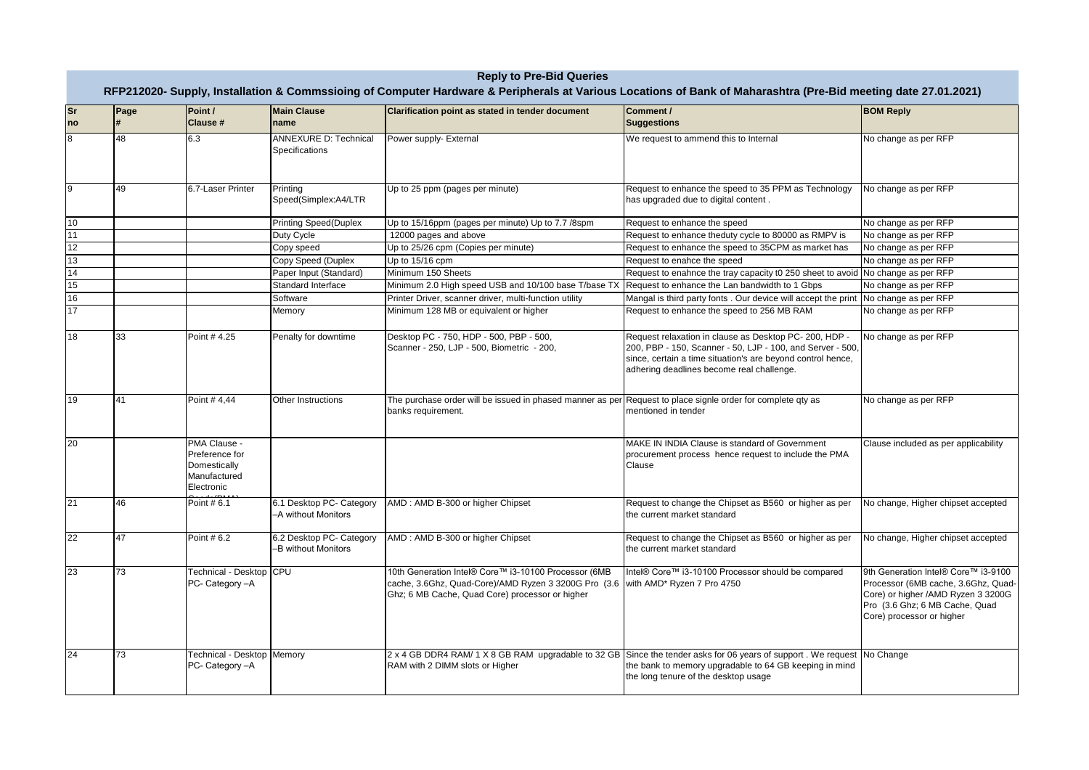| <b>Sr</b><br>no | Page | Point /<br>Clause #                                                          | <b>Main Clause</b><br>name                      | Clarification point as stated in tender document                                                                                                                                           | Comment /<br><b>Suggestions</b>                                                                                                                                                                                                  | <b>BOM Reply</b>                                                                                                                                                                |
|-----------------|------|------------------------------------------------------------------------------|-------------------------------------------------|--------------------------------------------------------------------------------------------------------------------------------------------------------------------------------------------|----------------------------------------------------------------------------------------------------------------------------------------------------------------------------------------------------------------------------------|---------------------------------------------------------------------------------------------------------------------------------------------------------------------------------|
|                 | 48   | 6.3                                                                          | ANNEXURE D: Technical<br>Specifications         | Power supply- External                                                                                                                                                                     | We request to ammend this to Internal                                                                                                                                                                                            | No change as per RFP                                                                                                                                                            |
|                 | 49   | 6.7-Laser Printer                                                            | Printing<br>Speed(Simplex:A4/LTR                | Up to 25 ppm (pages per minute)                                                                                                                                                            | Request to enhance the speed to 35 PPM as Technology<br>has upgraded due to digital content.                                                                                                                                     | No change as per RFP                                                                                                                                                            |
| 10              |      |                                                                              | <b>Printing Speed(Duplex</b>                    | Up to 15/16ppm (pages per minute) Up to 7.7 /8spm                                                                                                                                          | Request to enhance the speed                                                                                                                                                                                                     | No change as per RFP                                                                                                                                                            |
| 11              |      |                                                                              | Duty Cycle                                      | 12000 pages and above                                                                                                                                                                      | Request to enhance theduty cycle to 80000 as RMPV is                                                                                                                                                                             | No change as per RFP                                                                                                                                                            |
| 12              |      |                                                                              | Copy speed                                      | Up to 25/26 cpm (Copies per minute)                                                                                                                                                        | Request to enhance the speed to 35CPM as market has                                                                                                                                                                              | No change as per RFP                                                                                                                                                            |
| 13              |      |                                                                              | Copy Speed (Duplex                              | Up to 15/16 cpm                                                                                                                                                                            | Request to enahce the speed                                                                                                                                                                                                      | No change as per RFP                                                                                                                                                            |
| 14              |      |                                                                              | Paper Input (Standard)                          | Minimum 150 Sheets                                                                                                                                                                         | Request to enahnce the tray capacity t0 250 sheet to avoid No change as per RFP                                                                                                                                                  |                                                                                                                                                                                 |
| 15              |      |                                                                              | Standard Interface                              | Minimum 2.0 High speed USB and 10/100 base T/base TX                                                                                                                                       | Request to enhance the Lan bandwidth to 1 Gbps                                                                                                                                                                                   | No change as per RFP                                                                                                                                                            |
| 16              |      |                                                                              | Software                                        | Printer Driver, scanner driver, multi-function utility                                                                                                                                     | Mangal is third party fonts . Our device will accept the print No change as per RFP                                                                                                                                              |                                                                                                                                                                                 |
| 17              |      |                                                                              | Memory                                          | Minimum 128 MB or equivalent or higher                                                                                                                                                     | Request to enhance the speed to 256 MB RAM                                                                                                                                                                                       | No change as per RFP                                                                                                                                                            |
| 18              | 33   | Point # 4.25                                                                 | Penalty for downtime                            | Desktop PC - 750, HDP - 500, PBP - 500,<br>Scanner - 250, LJP - 500, Biometric - 200,                                                                                                      | Request relaxation in clause as Desktop PC- 200, HDP -<br>200, PBP - 150, Scanner - 50, LJP - 100, and Server - 500,<br>since, certain a time situation's are beyond control hence,<br>adhering deadlines become real challenge. | No change as per RFP                                                                                                                                                            |
| 19              | 41   | Point #4.44                                                                  | Other Instructions                              | The purchase order will be issued in phased manner as per Request to place signle order for complete qty as<br>banks requirement.                                                          | mentioned in tender                                                                                                                                                                                                              | No change as per RFP                                                                                                                                                            |
| 20              |      | PMA Clause -<br>Preference for<br>Domestically<br>Manufactured<br>Electronic |                                                 |                                                                                                                                                                                            | MAKE IN INDIA Clause is standard of Government<br>procurement process hence request to include the PMA<br>Clause                                                                                                                 | Clause included as per applicability                                                                                                                                            |
| 21              | 46   | Point # 6.1                                                                  | 6.1 Desktop PC- Category<br>-A without Monitors | AMD: AMD B-300 or higher Chipset                                                                                                                                                           | Request to change the Chipset as B560 or higher as per<br>the current market standard                                                                                                                                            | No change, Higher chipset accepted                                                                                                                                              |
| 22              | 47   | Point # 6.2                                                                  | 6.2 Desktop PC- Category<br>-B without Monitors | AMD: AMD B-300 or higher Chipset                                                                                                                                                           | Request to change the Chipset as B560 or higher as per<br>the current market standard                                                                                                                                            | No change, Higher chipset accepted                                                                                                                                              |
| 23              | 73   | Technical - Desktop CPU<br>PC- Category - A                                  |                                                 | 10th Generation Intel® Core™ i3-10100 Processor (6MB<br>cache, 3.6Ghz, Quad-Core)/AMD Ryzen 3 3200G Pro (3.6 with AMD* Ryzen 7 Pro 4750<br>Ghz; 6 MB Cache, Quad Core) processor or higher | Intel® Core™ i3-10100 Processor should be compared                                                                                                                                                                               | 9th Generation Intel® Core™ i3-9100<br>Processor (6MB cache, 3.6Ghz, Quad-<br>Core) or higher /AMD Ryzen 3 3200G<br>Pro (3.6 Ghz; 6 MB Cache, Quad<br>Core) processor or higher |
| 24              | 73   | Technical - Desktop Memory<br>PC- Category - A                               |                                                 | RAM with 2 DIMM slots or Higher                                                                                                                                                            | 2 x 4 GB DDR4 RAM/ 1 X 8 GB RAM upgradable to 32 GB Since the tender asks for 06 years of support. We request No Change<br>the bank to memory upgradable to 64 GB keeping in mind<br>the long tenure of the desktop usage        |                                                                                                                                                                                 |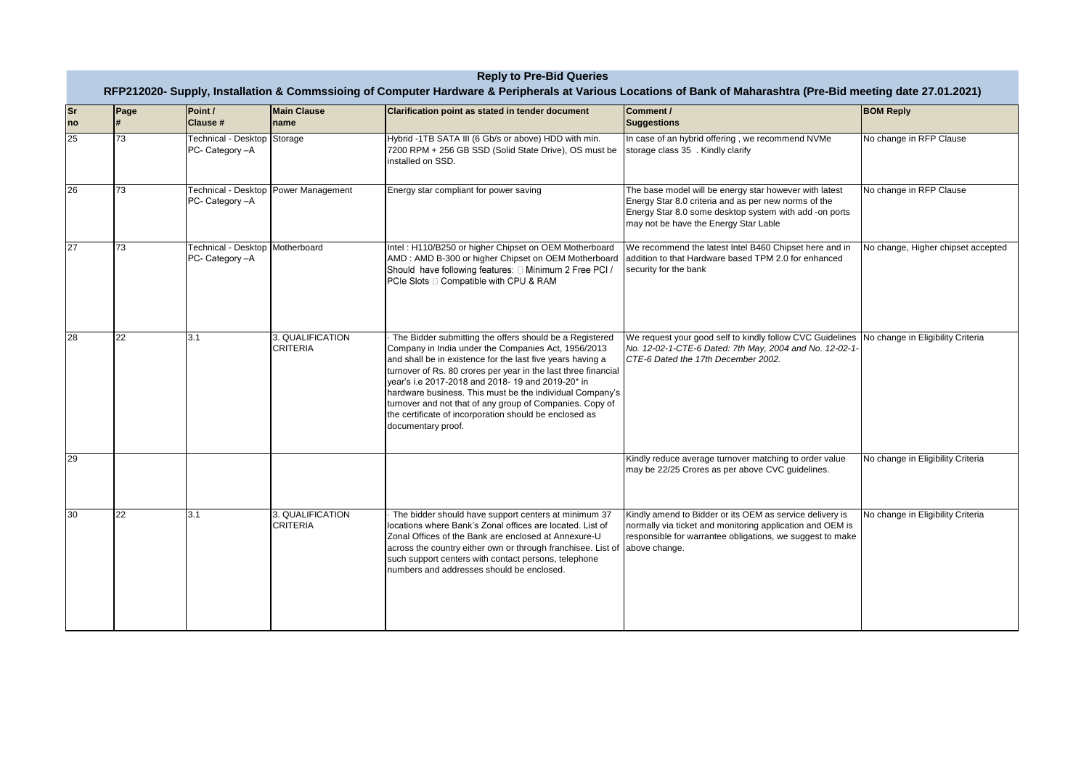|                 | <b>Reply to Pre-Bid Queries</b><br>RFP212020- Supply, Installation & Commssioing of Computer Hardware & Peripherals at Various Locations of Bank of Maharashtra (Pre-Bid meeting date 27.01.2021) |                                                    |                                     |                                                                                                                                                                                                                                                                                                                                                                                                                                                                                                             |                                                                                                                                                                                                                   |                                    |  |
|-----------------|---------------------------------------------------------------------------------------------------------------------------------------------------------------------------------------------------|----------------------------------------------------|-------------------------------------|-------------------------------------------------------------------------------------------------------------------------------------------------------------------------------------------------------------------------------------------------------------------------------------------------------------------------------------------------------------------------------------------------------------------------------------------------------------------------------------------------------------|-------------------------------------------------------------------------------------------------------------------------------------------------------------------------------------------------------------------|------------------------------------|--|
| <b>Sr</b><br>no | Page<br>H                                                                                                                                                                                         | Point /<br><b>Clause #</b>                         | <b>Main Clause</b><br>name          | Clarification point as stated in tender document                                                                                                                                                                                                                                                                                                                                                                                                                                                            | Comment /<br><b>Suggestions</b>                                                                                                                                                                                   | <b>BOM Reply</b>                   |  |
| 25              | 73                                                                                                                                                                                                | Technical - Desktop Storage<br>PC- Category -A     |                                     | Hybrid -1TB SATA III (6 Gb/s or above) HDD with min.<br>7200 RPM + 256 GB SSD (Solid State Drive), OS must be<br>installed on SSD.                                                                                                                                                                                                                                                                                                                                                                          | In case of an hybrid offering, we recommend NVMe<br>storage class 35 . Kindly clarify                                                                                                                             | No change in RFP Clause            |  |
| 26              | 73                                                                                                                                                                                                | <b>Technical - Desktop</b><br>PC- Category -A      | <b>Power Management</b>             | Energy star compliant for power saving                                                                                                                                                                                                                                                                                                                                                                                                                                                                      | The base model will be energy star however with latest<br>Energy Star 8.0 criteria and as per new norms of the<br>Energy Star 8.0 some desktop system with add -on ports<br>may not be have the Energy Star Lable | No change in RFP Clause            |  |
| 27              | 73                                                                                                                                                                                                | Technical - Desktop Motherboard<br>PC- Category -A |                                     | Intel: H110/B250 or higher Chipset on OEM Motherboard<br>AMD: AMD B-300 or higher Chipset on OEM Motherboard<br>Should have following features: $\Box$ Minimum 2 Free PCI /<br>PCIe Slots □ Compatible with CPU & RAM                                                                                                                                                                                                                                                                                       | We recommend the latest Intel B460 Chipset here and in<br>addition to that Hardware based TPM 2.0 for enhanced<br>security for the bank                                                                           | No change, Higher chipset accepted |  |
| 28              | 22                                                                                                                                                                                                | 3.1                                                | 3. QUALIFICATION<br><b>CRITERIA</b> | The Bidder submitting the offers should be a Registered<br>Company in India under the Companies Act, 1956/2013<br>and shall be in existence for the last five years having a<br>turnover of Rs. 80 crores per year in the last three financial<br>year's i.e 2017-2018 and 2018- 19 and 2019-20* in<br>hardware business. This must be the individual Company's<br>turnover and not that of any group of Companies. Copy of<br>the certificate of incorporation should be enclosed as<br>documentary proof. | We request your good self to kindly follow CVC Guidelines<br>No. 12-02-1-CTE-6 Dated: 7th May, 2004 and No. 12-02-1-<br>CTE-6 Dated the 17th December 2002.                                                       | No change in Eligibility Criteria  |  |
| 29              |                                                                                                                                                                                                   |                                                    |                                     |                                                                                                                                                                                                                                                                                                                                                                                                                                                                                                             | Kindly reduce average turnover matching to order value<br>may be 22/25 Crores as per above CVC guidelines.                                                                                                        | No change in Eligibility Criteria  |  |
| 30              | 22                                                                                                                                                                                                | 3.1                                                | 3. QUALIFICATION<br><b>CRITERIA</b> | The bidder should have support centers at minimum 37<br>locations where Bank's Zonal offices are located. List of<br>Zonal Offices of the Bank are enclosed at Annexure-U<br>across the country either own or through franchisee. List of above change.<br>such support centers with contact persons, telephone<br>numbers and addresses should be enclosed.                                                                                                                                                | Kindly amend to Bidder or its OEM as service delivery is<br>normally via ticket and monitoring application and OEM is<br>responsible for warrantee obligations, we suggest to make                                | No change in Eligibility Criteria  |  |